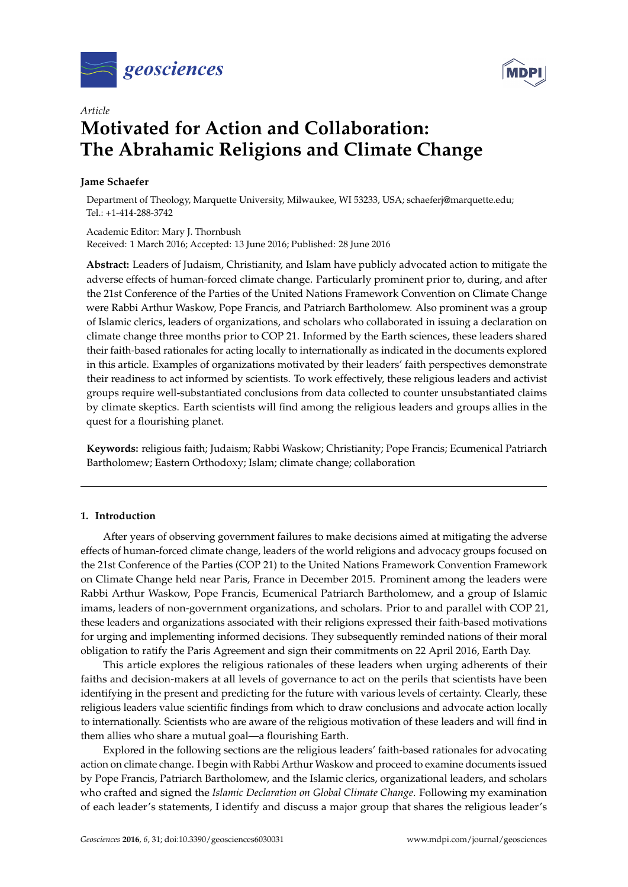



# *Article* **Motivated for Action and Collaboration: The Abrahamic Religions and Climate Change**

# **Jame Schaefer**

Department of Theology, Marquette University, Milwaukee, WI 53233, USA; schaeferj@marquette.edu; Tel.: +1-414-288-3742

Academic Editor: Mary J. Thornbush Received: 1 March 2016; Accepted: 13 June 2016; Published: 28 June 2016

**Abstract:** Leaders of Judaism, Christianity, and Islam have publicly advocated action to mitigate the adverse effects of human-forced climate change. Particularly prominent prior to, during, and after the 21st Conference of the Parties of the United Nations Framework Convention on Climate Change were Rabbi Arthur Waskow, Pope Francis, and Patriarch Bartholomew. Also prominent was a group of Islamic clerics, leaders of organizations, and scholars who collaborated in issuing a declaration on climate change three months prior to COP 21. Informed by the Earth sciences, these leaders shared their faith-based rationales for acting locally to internationally as indicated in the documents explored in this article. Examples of organizations motivated by their leaders' faith perspectives demonstrate their readiness to act informed by scientists. To work effectively, these religious leaders and activist groups require well-substantiated conclusions from data collected to counter unsubstantiated claims by climate skeptics. Earth scientists will find among the religious leaders and groups allies in the quest for a flourishing planet.

**Keywords:** religious faith; Judaism; Rabbi Waskow; Christianity; Pope Francis; Ecumenical Patriarch Bartholomew; Eastern Orthodoxy; Islam; climate change; collaboration

# **1. Introduction**

After years of observing government failures to make decisions aimed at mitigating the adverse effects of human-forced climate change, leaders of the world religions and advocacy groups focused on the 21st Conference of the Parties (COP 21) to the United Nations Framework Convention Framework on Climate Change held near Paris, France in December 2015. Prominent among the leaders were Rabbi Arthur Waskow, Pope Francis, Ecumenical Patriarch Bartholomew, and a group of Islamic imams, leaders of non-government organizations, and scholars. Prior to and parallel with COP 21, these leaders and organizations associated with their religions expressed their faith-based motivations for urging and implementing informed decisions. They subsequently reminded nations of their moral obligation to ratify the Paris Agreement and sign their commitments on 22 April 2016, Earth Day.

This article explores the religious rationales of these leaders when urging adherents of their faiths and decision-makers at all levels of governance to act on the perils that scientists have been identifying in the present and predicting for the future with various levels of certainty. Clearly, these religious leaders value scientific findings from which to draw conclusions and advocate action locally to internationally. Scientists who are aware of the religious motivation of these leaders and will find in them allies who share a mutual goal—a flourishing Earth.

Explored in the following sections are the religious leaders' faith-based rationales for advocating action on climate change. I begin with Rabbi Arthur Waskow and proceed to examine documents issued by Pope Francis, Patriarch Bartholomew, and the Islamic clerics, organizational leaders, and scholars who crafted and signed the *Islamic Declaration on Global Climate Change*. Following my examination of each leader's statements, I identify and discuss a major group that shares the religious leader's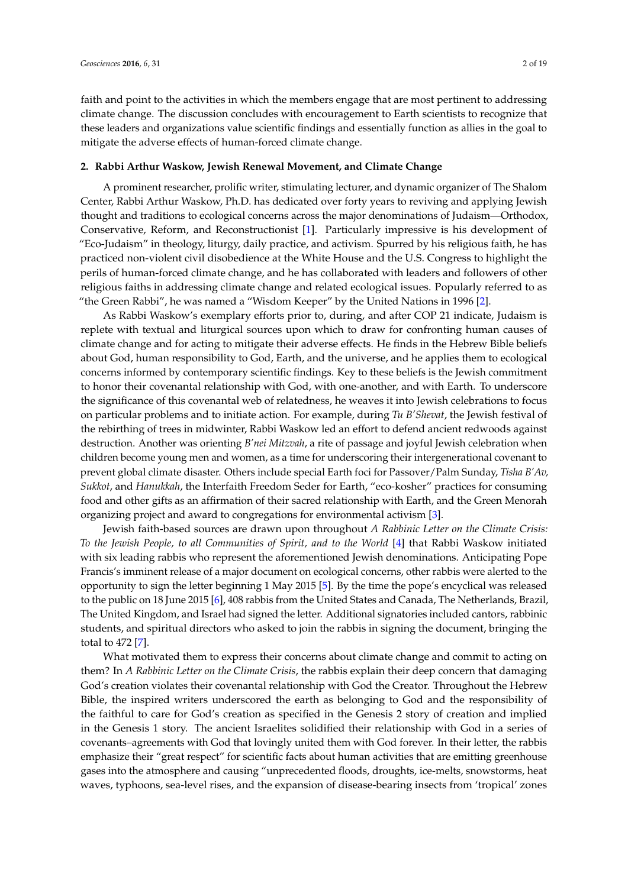faith and point to the activities in which the members engage that are most pertinent to addressing climate change. The discussion concludes with encouragement to Earth scientists to recognize that these leaders and organizations value scientific findings and essentially function as allies in the goal to mitigate the adverse effects of human-forced climate change.

## **2. Rabbi Arthur Waskow, Jewish Renewal Movement, and Climate Change**

A prominent researcher, prolific writer, stimulating lecturer, and dynamic organizer of The Shalom Center, Rabbi Arthur Waskow, Ph.D. has dedicated over forty years to reviving and applying Jewish thought and traditions to ecological concerns across the major denominations of Judaism—Orthodox, Conservative, Reform, and Reconstructionist [\[1\]](#page-15-0). Particularly impressive is his development of "Eco-Judaism" in theology, liturgy, daily practice, and activism. Spurred by his religious faith, he has practiced non-violent civil disobedience at the White House and the U.S. Congress to highlight the perils of human-forced climate change, and he has collaborated with leaders and followers of other religious faiths in addressing climate change and related ecological issues. Popularly referred to as "the Green Rabbi", he was named a "Wisdom Keeper" by the United Nations in 1996 [\[2\]](#page-15-1).

As Rabbi Waskow's exemplary efforts prior to, during, and after COP 21 indicate, Judaism is replete with textual and liturgical sources upon which to draw for confronting human causes of climate change and for acting to mitigate their adverse effects. He finds in the Hebrew Bible beliefs about God, human responsibility to God, Earth, and the universe, and he applies them to ecological concerns informed by contemporary scientific findings. Key to these beliefs is the Jewish commitment to honor their covenantal relationship with God, with one-another, and with Earth. To underscore the significance of this covenantal web of relatedness, he weaves it into Jewish celebrations to focus on particular problems and to initiate action. For example, during *Tu B'Shevat*, the Jewish festival of the rebirthing of trees in midwinter, Rabbi Waskow led an effort to defend ancient redwoods against destruction. Another was orienting *B'nei Mitzvah*, a rite of passage and joyful Jewish celebration when children become young men and women, as a time for underscoring their intergenerational covenant to prevent global climate disaster. Others include special Earth foci for Passover/Palm Sunday, *Tisha B'Av, Sukkot*, and *Hanukkah*, the Interfaith Freedom Seder for Earth, "eco-kosher" practices for consuming food and other gifts as an affirmation of their sacred relationship with Earth, and the Green Menorah organizing project and award to congregations for environmental activism [\[3\]](#page-15-2).

Jewish faith-based sources are drawn upon throughout *A Rabbinic Letter on the Climate Crisis: To the Jewish People, to all Communities of Spirit, and to the World* [\[4\]](#page-15-3) that Rabbi Waskow initiated with six leading rabbis who represent the aforementioned Jewish denominations. Anticipating Pope Francis's imminent release of a major document on ecological concerns, other rabbis were alerted to the opportunity to sign the letter beginning 1 May 2015 [\[5\]](#page-15-4). By the time the pope's encyclical was released to the public on 18 June 2015 [\[6\]](#page-15-5), 408 rabbis from the United States and Canada, The Netherlands, Brazil, The United Kingdom, and Israel had signed the letter. Additional signatories included cantors, rabbinic students, and spiritual directors who asked to join the rabbis in signing the document, bringing the total to 472 [\[7\]](#page-15-6).

What motivated them to express their concerns about climate change and commit to acting on them? In *A Rabbinic Letter on the Climate Crisis*, the rabbis explain their deep concern that damaging God's creation violates their covenantal relationship with God the Creator. Throughout the Hebrew Bible, the inspired writers underscored the earth as belonging to God and the responsibility of the faithful to care for God's creation as specified in the Genesis 2 story of creation and implied in the Genesis 1 story. The ancient Israelites solidified their relationship with God in a series of covenants–agreements with God that lovingly united them with God forever. In their letter, the rabbis emphasize their "great respect" for scientific facts about human activities that are emitting greenhouse gases into the atmosphere and causing "unprecedented floods, droughts, ice-melts, snowstorms, heat waves, typhoons, sea-level rises, and the expansion of disease-bearing insects from 'tropical' zones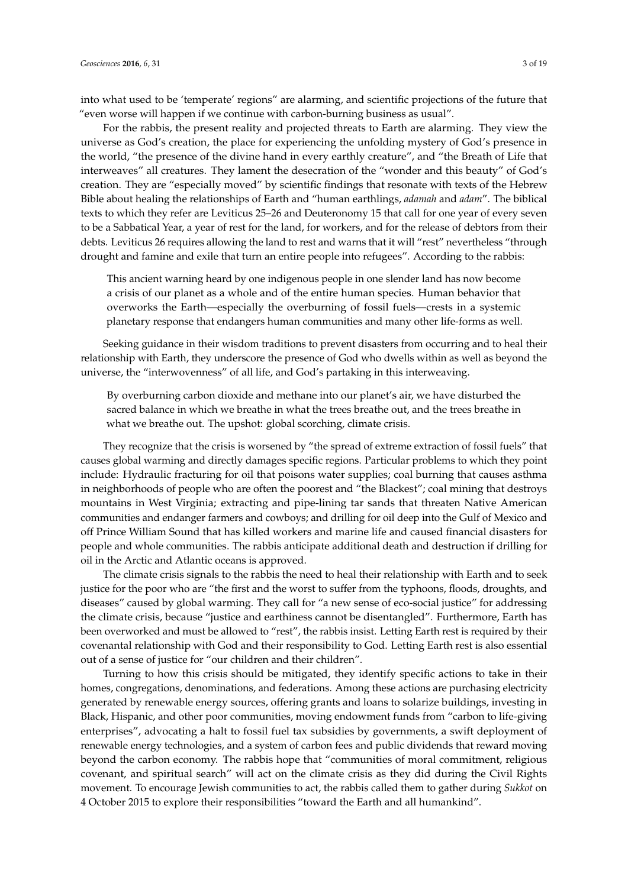into what used to be 'temperate' regions" are alarming, and scientific projections of the future that "even worse will happen if we continue with carbon-burning business as usual".

For the rabbis, the present reality and projected threats to Earth are alarming. They view the universe as God's creation, the place for experiencing the unfolding mystery of God's presence in the world, "the presence of the divine hand in every earthly creature", and "the Breath of Life that interweaves" all creatures. They lament the desecration of the "wonder and this beauty" of God's creation. They are "especially moved" by scientific findings that resonate with texts of the Hebrew Bible about healing the relationships of Earth and "human earthlings, *adamah* and *adam*". The biblical texts to which they refer are Leviticus 25–26 and Deuteronomy 15 that call for one year of every seven to be a Sabbatical Year, a year of rest for the land, for workers, and for the release of debtors from their debts. Leviticus 26 requires allowing the land to rest and warns that it will "rest" nevertheless "through drought and famine and exile that turn an entire people into refugees". According to the rabbis:

This ancient warning heard by one indigenous people in one slender land has now become a crisis of our planet as a whole and of the entire human species. Human behavior that overworks the Earth—especially the overburning of fossil fuels—crests in a systemic planetary response that endangers human communities and many other life-forms as well.

Seeking guidance in their wisdom traditions to prevent disasters from occurring and to heal their relationship with Earth, they underscore the presence of God who dwells within as well as beyond the universe, the "interwovenness" of all life, and God's partaking in this interweaving.

By overburning carbon dioxide and methane into our planet's air, we have disturbed the sacred balance in which we breathe in what the trees breathe out, and the trees breathe in what we breathe out. The upshot: global scorching, climate crisis.

They recognize that the crisis is worsened by "the spread of extreme extraction of fossil fuels" that causes global warming and directly damages specific regions. Particular problems to which they point include: Hydraulic fracturing for oil that poisons water supplies; coal burning that causes asthma in neighborhoods of people who are often the poorest and "the Blackest"; coal mining that destroys mountains in West Virginia; extracting and pipe-lining tar sands that threaten Native American communities and endanger farmers and cowboys; and drilling for oil deep into the Gulf of Mexico and off Prince William Sound that has killed workers and marine life and caused financial disasters for people and whole communities. The rabbis anticipate additional death and destruction if drilling for oil in the Arctic and Atlantic oceans is approved.

The climate crisis signals to the rabbis the need to heal their relationship with Earth and to seek justice for the poor who are "the first and the worst to suffer from the typhoons, floods, droughts, and diseases" caused by global warming. They call for "a new sense of eco-social justice" for addressing the climate crisis, because "justice and earthiness cannot be disentangled". Furthermore, Earth has been overworked and must be allowed to "rest", the rabbis insist. Letting Earth rest is required by their covenantal relationship with God and their responsibility to God. Letting Earth rest is also essential out of a sense of justice for "our children and their children".

Turning to how this crisis should be mitigated, they identify specific actions to take in their homes, congregations, denominations, and federations. Among these actions are purchasing electricity generated by renewable energy sources, offering grants and loans to solarize buildings, investing in Black, Hispanic, and other poor communities, moving endowment funds from "carbon to life-giving enterprises", advocating a halt to fossil fuel tax subsidies by governments, a swift deployment of renewable energy technologies, and a system of carbon fees and public dividends that reward moving beyond the carbon economy. The rabbis hope that "communities of moral commitment, religious covenant, and spiritual search" will act on the climate crisis as they did during the Civil Rights movement. To encourage Jewish communities to act, the rabbis called them to gather during *Sukkot* on 4 October 2015 to explore their responsibilities "toward the Earth and all humankind".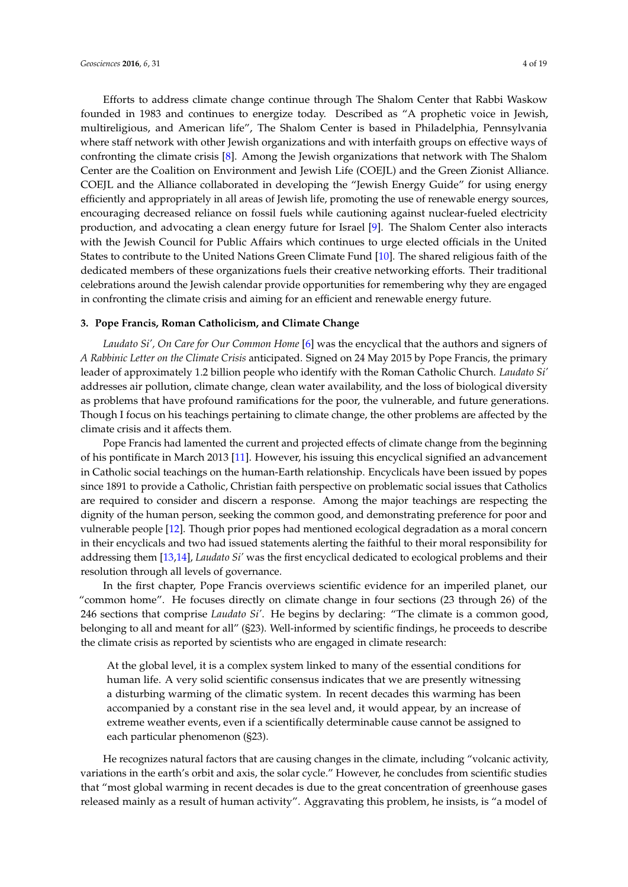Efforts to address climate change continue through The Shalom Center that Rabbi Waskow founded in 1983 and continues to energize today. Described as "A prophetic voice in Jewish, multireligious, and American life", The Shalom Center is based in Philadelphia, Pennsylvania where staff network with other Jewish organizations and with interfaith groups on effective ways of confronting the climate crisis [\[8\]](#page-15-7). Among the Jewish organizations that network with The Shalom Center are the Coalition on Environment and Jewish Life (COEJL) and the Green Zionist Alliance. COEJL and the Alliance collaborated in developing the "Jewish Energy Guide" for using energy efficiently and appropriately in all areas of Jewish life, promoting the use of renewable energy sources, encouraging decreased reliance on fossil fuels while cautioning against nuclear-fueled electricity production, and advocating a clean energy future for Israel [\[9\]](#page-15-8). The Shalom Center also interacts with the Jewish Council for Public Affairs which continues to urge elected officials in the United States to contribute to the United Nations Green Climate Fund [\[10\]](#page-15-9). The shared religious faith of the dedicated members of these organizations fuels their creative networking efforts. Their traditional celebrations around the Jewish calendar provide opportunities for remembering why they are engaged in confronting the climate crisis and aiming for an efficient and renewable energy future.

#### **3. Pope Francis, Roman Catholicism, and Climate Change**

*Laudato Si', On Care for Our Common Home* [\[6\]](#page-15-5) was the encyclical that the authors and signers of *A Rabbinic Letter on the Climate Crisis* anticipated. Signed on 24 May 2015 by Pope Francis, the primary leader of approximately 1.2 billion people who identify with the Roman Catholic Church. *Laudato Si'* addresses air pollution, climate change, clean water availability, and the loss of biological diversity as problems that have profound ramifications for the poor, the vulnerable, and future generations. Though I focus on his teachings pertaining to climate change, the other problems are affected by the climate crisis and it affects them.

Pope Francis had lamented the current and projected effects of climate change from the beginning of his pontificate in March 2013 [\[11\]](#page-15-10). However, his issuing this encyclical signified an advancement in Catholic social teachings on the human-Earth relationship. Encyclicals have been issued by popes since 1891 to provide a Catholic, Christian faith perspective on problematic social issues that Catholics are required to consider and discern a response. Among the major teachings are respecting the dignity of the human person, seeking the common good, and demonstrating preference for poor and vulnerable people [\[12\]](#page-16-0). Though prior popes had mentioned ecological degradation as a moral concern in their encyclicals and two had issued statements alerting the faithful to their moral responsibility for addressing them [\[13,](#page-16-1)[14\]](#page-16-2), *Laudato Si'* was the first encyclical dedicated to ecological problems and their resolution through all levels of governance.

In the first chapter, Pope Francis overviews scientific evidence for an imperiled planet, our "common home". He focuses directly on climate change in four sections (23 through 26) of the 246 sections that comprise *Laudato Si'*. He begins by declaring: "The climate is a common good, belonging to all and meant for all" (§23). Well-informed by scientific findings, he proceeds to describe the climate crisis as reported by scientists who are engaged in climate research:

At the global level, it is a complex system linked to many of the essential conditions for human life. A very solid scientific consensus indicates that we are presently witnessing a disturbing warming of the climatic system. In recent decades this warming has been accompanied by a constant rise in the sea level and, it would appear, by an increase of extreme weather events, even if a scientifically determinable cause cannot be assigned to each particular phenomenon (§23).

He recognizes natural factors that are causing changes in the climate, including "volcanic activity, variations in the earth's orbit and axis, the solar cycle." However, he concludes from scientific studies that "most global warming in recent decades is due to the great concentration of greenhouse gases released mainly as a result of human activity". Aggravating this problem, he insists, is "a model of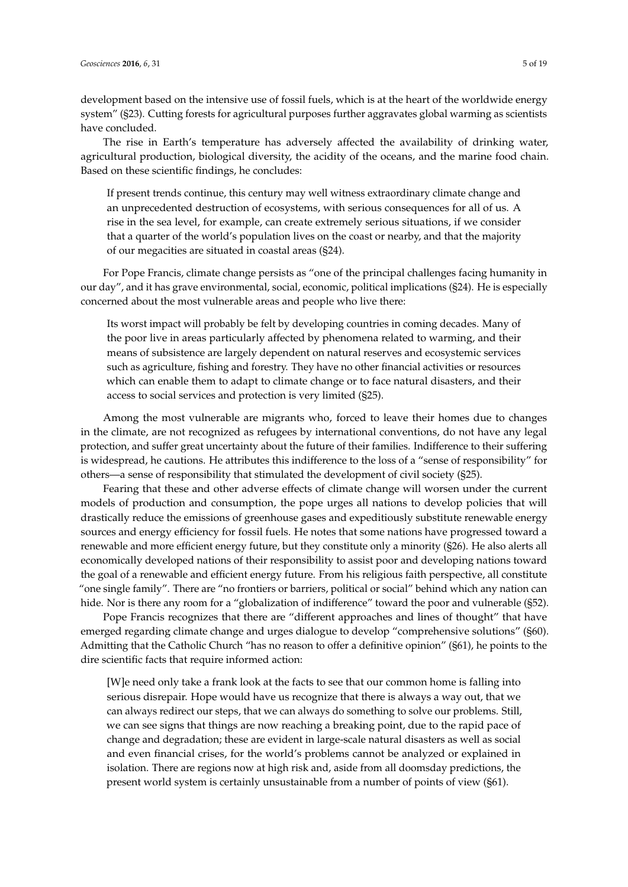development based on the intensive use of fossil fuels, which is at the heart of the worldwide energy system" (§23). Cutting forests for agricultural purposes further aggravates global warming as scientists have concluded.

The rise in Earth's temperature has adversely affected the availability of drinking water, agricultural production, biological diversity, the acidity of the oceans, and the marine food chain. Based on these scientific findings, he concludes:

If present trends continue, this century may well witness extraordinary climate change and an unprecedented destruction of ecosystems, with serious consequences for all of us. A rise in the sea level, for example, can create extremely serious situations, if we consider that a quarter of the world's population lives on the coast or nearby, and that the majority of our megacities are situated in coastal areas (§24).

For Pope Francis, climate change persists as "one of the principal challenges facing humanity in our day", and it has grave environmental, social, economic, political implications (§24). He is especially concerned about the most vulnerable areas and people who live there:

Its worst impact will probably be felt by developing countries in coming decades. Many of the poor live in areas particularly affected by phenomena related to warming, and their means of subsistence are largely dependent on natural reserves and ecosystemic services such as agriculture, fishing and forestry. They have no other financial activities or resources which can enable them to adapt to climate change or to face natural disasters, and their access to social services and protection is very limited (§25).

Among the most vulnerable are migrants who, forced to leave their homes due to changes in the climate, are not recognized as refugees by international conventions, do not have any legal protection, and suffer great uncertainty about the future of their families. Indifference to their suffering is widespread, he cautions. He attributes this indifference to the loss of a "sense of responsibility" for others—a sense of responsibility that stimulated the development of civil society (§25).

Fearing that these and other adverse effects of climate change will worsen under the current models of production and consumption, the pope urges all nations to develop policies that will drastically reduce the emissions of greenhouse gases and expeditiously substitute renewable energy sources and energy efficiency for fossil fuels. He notes that some nations have progressed toward a renewable and more efficient energy future, but they constitute only a minority (§26). He also alerts all economically developed nations of their responsibility to assist poor and developing nations toward the goal of a renewable and efficient energy future. From his religious faith perspective, all constitute "one single family". There are "no frontiers or barriers, political or social" behind which any nation can hide. Nor is there any room for a "globalization of indifference" toward the poor and vulnerable (§52).

Pope Francis recognizes that there are "different approaches and lines of thought" that have emerged regarding climate change and urges dialogue to develop "comprehensive solutions" (§60). Admitting that the Catholic Church "has no reason to offer a definitive opinion" (§61), he points to the dire scientific facts that require informed action:

[W]e need only take a frank look at the facts to see that our common home is falling into serious disrepair. Hope would have us recognize that there is always a way out, that we can always redirect our steps, that we can always do something to solve our problems. Still, we can see signs that things are now reaching a breaking point, due to the rapid pace of change and degradation; these are evident in large-scale natural disasters as well as social and even financial crises, for the world's problems cannot be analyzed or explained in isolation. There are regions now at high risk and, aside from all doomsday predictions, the present world system is certainly unsustainable from a number of points of view (§61).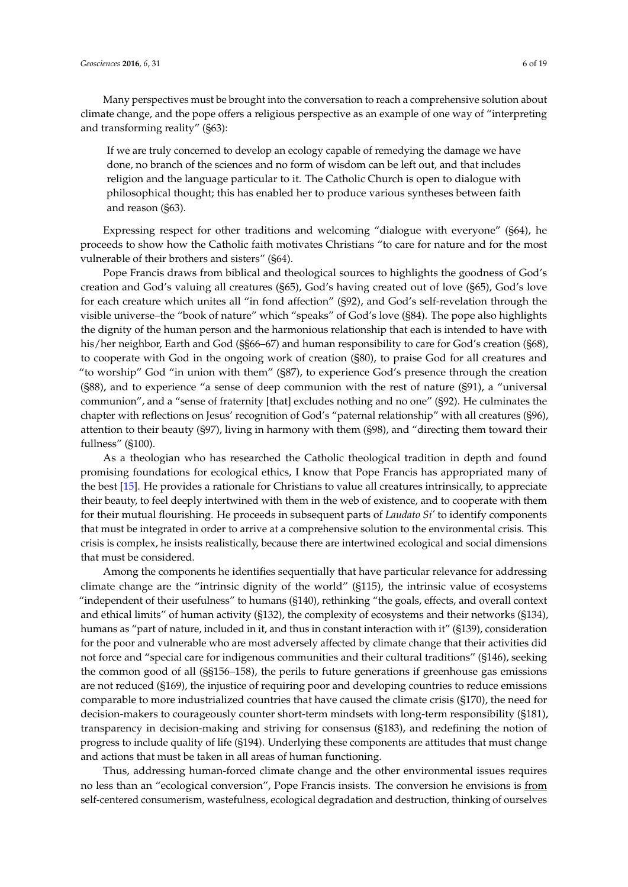Many perspectives must be brought into the conversation to reach a comprehensive solution about climate change, and the pope offers a religious perspective as an example of one way of "interpreting and transforming reality" (§63):

If we are truly concerned to develop an ecology capable of remedying the damage we have done, no branch of the sciences and no form of wisdom can be left out, and that includes religion and the language particular to it. The Catholic Church is open to dialogue with philosophical thought; this has enabled her to produce various syntheses between faith and reason (§63).

Expressing respect for other traditions and welcoming "dialogue with everyone" (§64), he proceeds to show how the Catholic faith motivates Christians "to care for nature and for the most vulnerable of their brothers and sisters" (§64).

Pope Francis draws from biblical and theological sources to highlights the goodness of God's creation and God's valuing all creatures (§65), God's having created out of love (§65), God's love for each creature which unites all "in fond affection" (§92), and God's self-revelation through the visible universe–the "book of nature" which "speaks" of God's love (§84). The pope also highlights the dignity of the human person and the harmonious relationship that each is intended to have with his/her neighbor, Earth and God (§§66–67) and human responsibility to care for God's creation (§68), to cooperate with God in the ongoing work of creation (§80), to praise God for all creatures and "to worship" God "in union with them" (§87), to experience God's presence through the creation (§88), and to experience "a sense of deep communion with the rest of nature (§91), a "universal communion", and a "sense of fraternity [that] excludes nothing and no one" (§92). He culminates the chapter with reflections on Jesus' recognition of God's "paternal relationship" with all creatures (§96), attention to their beauty (§97), living in harmony with them (§98), and "directing them toward their fullness" (§100).

As a theologian who has researched the Catholic theological tradition in depth and found promising foundations for ecological ethics, I know that Pope Francis has appropriated many of the best [\[15\]](#page-16-3). He provides a rationale for Christians to value all creatures intrinsically, to appreciate their beauty, to feel deeply intertwined with them in the web of existence, and to cooperate with them for their mutual flourishing. He proceeds in subsequent parts of *Laudato Si'* to identify components that must be integrated in order to arrive at a comprehensive solution to the environmental crisis. This crisis is complex, he insists realistically, because there are intertwined ecological and social dimensions that must be considered.

Among the components he identifies sequentially that have particular relevance for addressing climate change are the "intrinsic dignity of the world" (§115), the intrinsic value of ecosystems "independent of their usefulness" to humans (§140), rethinking "the goals, effects, and overall context and ethical limits" of human activity (§132), the complexity of ecosystems and their networks (§134), humans as "part of nature, included in it, and thus in constant interaction with it" (§139), consideration for the poor and vulnerable who are most adversely affected by climate change that their activities did not force and "special care for indigenous communities and their cultural traditions" (§146), seeking the common good of all (§§156–158), the perils to future generations if greenhouse gas emissions are not reduced (§169), the injustice of requiring poor and developing countries to reduce emissions comparable to more industrialized countries that have caused the climate crisis (§170), the need for decision-makers to courageously counter short-term mindsets with long-term responsibility (§181), transparency in decision-making and striving for consensus (§183), and redefining the notion of progress to include quality of life (§194). Underlying these components are attitudes that must change and actions that must be taken in all areas of human functioning.

Thus, addressing human-forced climate change and the other environmental issues requires no less than an "ecological conversion", Pope Francis insists. The conversion he envisions is from self-centered consumerism, wastefulness, ecological degradation and destruction, thinking of ourselves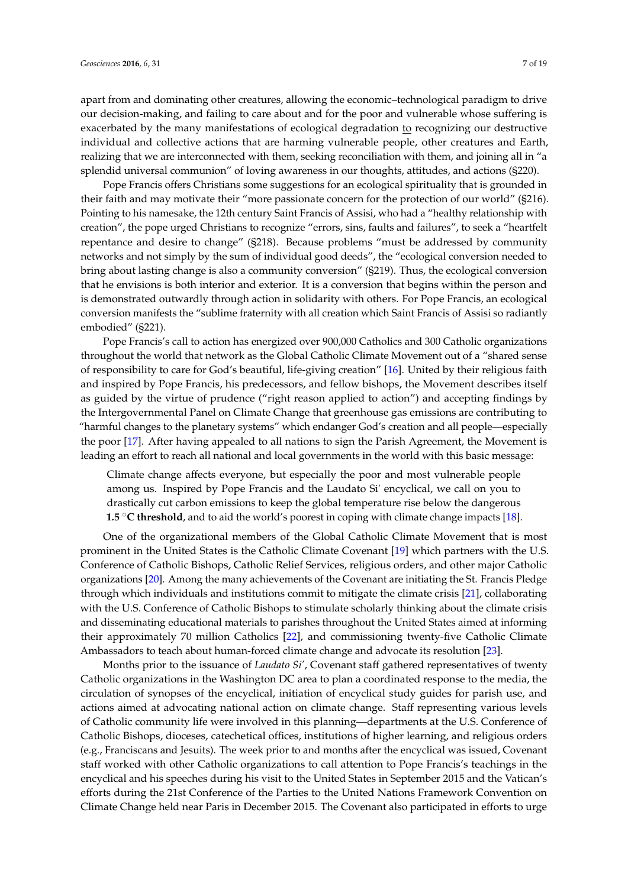apart from and dominating other creatures, allowing the economic–technological paradigm to drive our decision-making, and failing to care about and for the poor and vulnerable whose suffering is exacerbated by the many manifestations of ecological degradation to recognizing our destructive individual and collective actions that are harming vulnerable people, other creatures and Earth, realizing that we are interconnected with them, seeking reconciliation with them, and joining all in "a splendid universal communion" of loving awareness in our thoughts, attitudes, and actions (§220).

Pope Francis offers Christians some suggestions for an ecological spirituality that is grounded in their faith and may motivate their "more passionate concern for the protection of our world" (§216). Pointing to his namesake, the 12th century Saint Francis of Assisi, who had a "healthy relationship with creation", the pope urged Christians to recognize "errors, sins, faults and failures", to seek a "heartfelt repentance and desire to change" (§218). Because problems "must be addressed by community networks and not simply by the sum of individual good deeds", the "ecological conversion needed to bring about lasting change is also a community conversion" (§219). Thus, the ecological conversion that he envisions is both interior and exterior. It is a conversion that begins within the person and is demonstrated outwardly through action in solidarity with others. For Pope Francis, an ecological conversion manifests the "sublime fraternity with all creation which Saint Francis of Assisi so radiantly embodied" (§221).

Pope Francis's call to action has energized over 900,000 Catholics and 300 Catholic organizations throughout the world that network as the Global Catholic Climate Movement out of a "shared sense of responsibility to care for God's beautiful, life-giving creation" [\[16\]](#page-16-4). United by their religious faith and inspired by Pope Francis, his predecessors, and fellow bishops, the Movement describes itself as guided by the virtue of prudence ("right reason applied to action") and accepting findings by the Intergovernmental Panel on Climate Change that greenhouse gas emissions are contributing to "harmful changes to the planetary systems" which endanger God's creation and all people—especially the poor [\[17\]](#page-16-5). After having appealed to all nations to sign the Parish Agreement, the Movement is leading an effort to reach all national and local governments in the world with this basic message:

Climate change affects everyone, but especially the poor and most vulnerable people among us. Inspired by Pope Francis and the Laudato Si' encyclical, we call on you to drastically cut carbon emissions to keep the global temperature rise below the dangerous **1.5** °C threshold, and to aid the world's poorest in coping with climate change impacts [\[18\]](#page-16-6).

One of the organizational members of the Global Catholic Climate Movement that is most prominent in the United States is the Catholic Climate Covenant [\[19\]](#page-16-7) which partners with the U.S. Conference of Catholic Bishops, Catholic Relief Services, religious orders, and other major Catholic organizations [\[20\]](#page-16-8). Among the many achievements of the Covenant are initiating the St. Francis Pledge through which individuals and institutions commit to mitigate the climate crisis [\[21\]](#page-16-9), collaborating with the U.S. Conference of Catholic Bishops to stimulate scholarly thinking about the climate crisis and disseminating educational materials to parishes throughout the United States aimed at informing their approximately 70 million Catholics [\[22\]](#page-16-10), and commissioning twenty-five Catholic Climate Ambassadors to teach about human-forced climate change and advocate its resolution [\[23\]](#page-16-11).

Months prior to the issuance of *Laudato Si'*, Covenant staff gathered representatives of twenty Catholic organizations in the Washington DC area to plan a coordinated response to the media, the circulation of synopses of the encyclical, initiation of encyclical study guides for parish use, and actions aimed at advocating national action on climate change. Staff representing various levels of Catholic community life were involved in this planning—departments at the U.S. Conference of Catholic Bishops, dioceses, catechetical offices, institutions of higher learning, and religious orders (e.g., Franciscans and Jesuits). The week prior to and months after the encyclical was issued, Covenant staff worked with other Catholic organizations to call attention to Pope Francis's teachings in the encyclical and his speeches during his visit to the United States in September 2015 and the Vatican's efforts during the 21st Conference of the Parties to the United Nations Framework Convention on Climate Change held near Paris in December 2015. The Covenant also participated in efforts to urge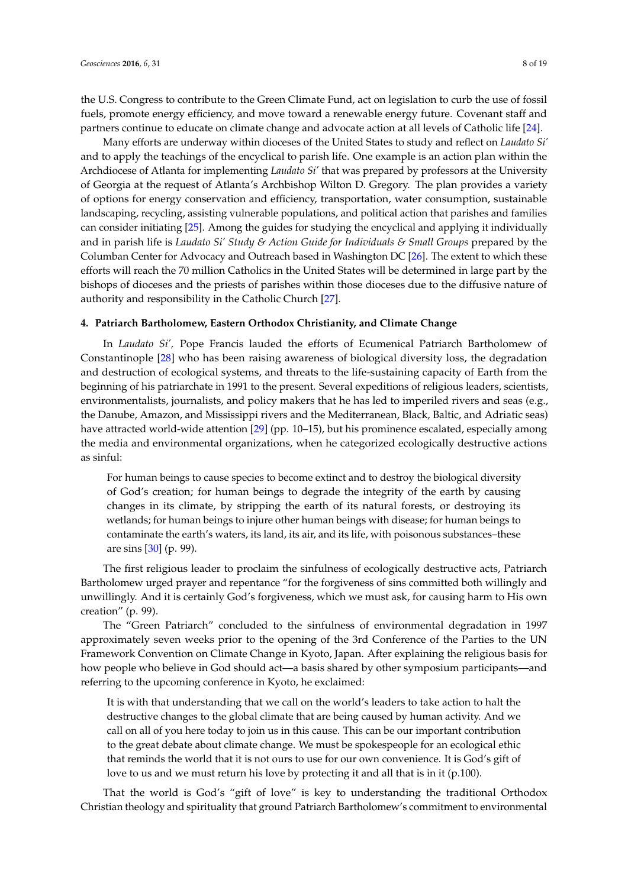the U.S. Congress to contribute to the Green Climate Fund, act on legislation to curb the use of fossil fuels, promote energy efficiency, and move toward a renewable energy future. Covenant staff and partners continue to educate on climate change and advocate action at all levels of Catholic life [\[24\]](#page-16-12).

Many efforts are underway within dioceses of the United States to study and reflect on *Laudato Si'* and to apply the teachings of the encyclical to parish life. One example is an action plan within the Archdiocese of Atlanta for implementing *Laudato Si'* that was prepared by professors at the University of Georgia at the request of Atlanta's Archbishop Wilton D. Gregory. The plan provides a variety of options for energy conservation and efficiency, transportation, water consumption, sustainable landscaping, recycling, assisting vulnerable populations, and political action that parishes and families can consider initiating [\[25\]](#page-16-13). Among the guides for studying the encyclical and applying it individually and in parish life is *Laudato Si' Study & Action Guide for Individuals & Small Groups* prepared by the Columban Center for Advocacy and Outreach based in Washington DC [\[26\]](#page-16-14). The extent to which these efforts will reach the 70 million Catholics in the United States will be determined in large part by the bishops of dioceses and the priests of parishes within those dioceses due to the diffusive nature of authority and responsibility in the Catholic Church [\[27\]](#page-16-15).

# **4. Patriarch Bartholomew, Eastern Orthodox Christianity, and Climate Change**

In *Laudato Si',* Pope Francis lauded the efforts of Ecumenical Patriarch Bartholomew of Constantinople [\[28\]](#page-16-16) who has been raising awareness of biological diversity loss, the degradation and destruction of ecological systems, and threats to the life-sustaining capacity of Earth from the beginning of his patriarchate in 1991 to the present. Several expeditions of religious leaders, scientists, environmentalists, journalists, and policy makers that he has led to imperiled rivers and seas (e.g., the Danube, Amazon, and Mississippi rivers and the Mediterranean, Black, Baltic, and Adriatic seas) have attracted world-wide attention [\[29\]](#page-16-17) (pp. 10–15), but his prominence escalated, especially among the media and environmental organizations, when he categorized ecologically destructive actions as sinful:

For human beings to cause species to become extinct and to destroy the biological diversity of God's creation; for human beings to degrade the integrity of the earth by causing changes in its climate, by stripping the earth of its natural forests, or destroying its wetlands; for human beings to injure other human beings with disease; for human beings to contaminate the earth's waters, its land, its air, and its life, with poisonous substances–these are sins [\[30\]](#page-16-18) (p. 99).

The first religious leader to proclaim the sinfulness of ecologically destructive acts, Patriarch Bartholomew urged prayer and repentance "for the forgiveness of sins committed both willingly and unwillingly. And it is certainly God's forgiveness, which we must ask, for causing harm to His own creation" (p. 99).

The "Green Patriarch" concluded to the sinfulness of environmental degradation in 1997 approximately seven weeks prior to the opening of the 3rd Conference of the Parties to the UN Framework Convention on Climate Change in Kyoto, Japan. After explaining the religious basis for how people who believe in God should act—a basis shared by other symposium participants—and referring to the upcoming conference in Kyoto, he exclaimed:

It is with that understanding that we call on the world's leaders to take action to halt the destructive changes to the global climate that are being caused by human activity. And we call on all of you here today to join us in this cause. This can be our important contribution to the great debate about climate change. We must be spokespeople for an ecological ethic that reminds the world that it is not ours to use for our own convenience. It is God's gift of love to us and we must return his love by protecting it and all that is in it (p.100).

That the world is God's "gift of love" is key to understanding the traditional Orthodox Christian theology and spirituality that ground Patriarch Bartholomew's commitment to environmental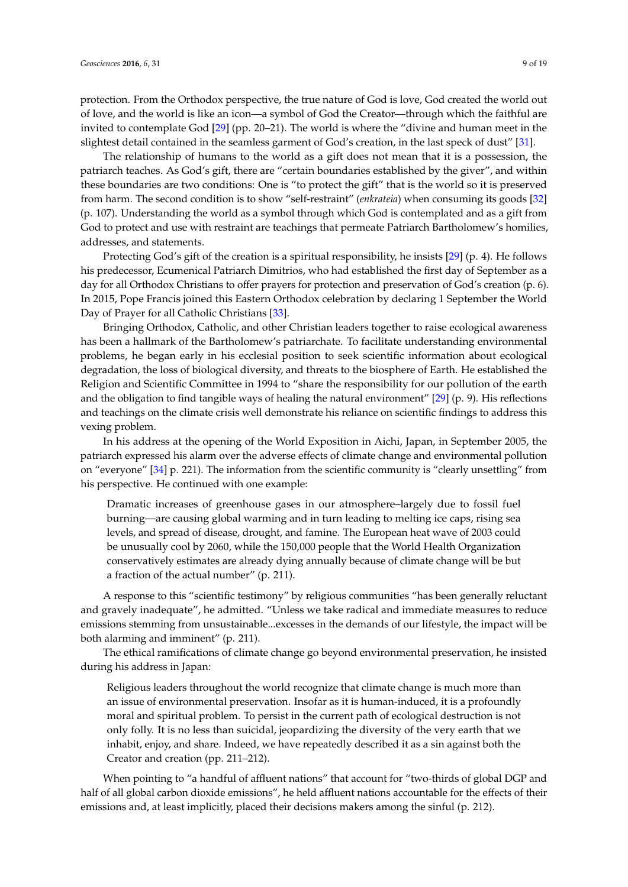protection. From the Orthodox perspective, the true nature of God is love, God created the world out of love, and the world is like an icon—a symbol of God the Creator—through which the faithful are invited to contemplate God [\[29\]](#page-16-17) (pp. 20–21). The world is where the "divine and human meet in the slightest detail contained in the seamless garment of God's creation, in the last speck of dust" [\[31\]](#page-16-19).

The relationship of humans to the world as a gift does not mean that it is a possession, the patriarch teaches. As God's gift, there are "certain boundaries established by the giver", and within these boundaries are two conditions: One is "to protect the gift" that is the world so it is preserved from harm. The second condition is to show "self-restraint" (*enkrateia*) when consuming its goods [\[32\]](#page-17-0) (p. 107). Understanding the world as a symbol through which God is contemplated and as a gift from God to protect and use with restraint are teachings that permeate Patriarch Bartholomew's homilies, addresses, and statements.

Protecting God's gift of the creation is a spiritual responsibility, he insists [\[29\]](#page-16-17) (p. 4). He follows his predecessor, Ecumenical Patriarch Dimitrios, who had established the first day of September as a day for all Orthodox Christians to offer prayers for protection and preservation of God's creation (p. 6). In 2015, Pope Francis joined this Eastern Orthodox celebration by declaring 1 September the World Day of Prayer for all Catholic Christians [\[33\]](#page-17-1).

Bringing Orthodox, Catholic, and other Christian leaders together to raise ecological awareness has been a hallmark of the Bartholomew's patriarchate. To facilitate understanding environmental problems, he began early in his ecclesial position to seek scientific information about ecological degradation, the loss of biological diversity, and threats to the biosphere of Earth. He established the Religion and Scientific Committee in 1994 to "share the responsibility for our pollution of the earth and the obligation to find tangible ways of healing the natural environment" [\[29\]](#page-16-17) (p. 9). His reflections and teachings on the climate crisis well demonstrate his reliance on scientific findings to address this vexing problem.

In his address at the opening of the World Exposition in Aichi, Japan, in September 2005, the patriarch expressed his alarm over the adverse effects of climate change and environmental pollution on "everyone" [\[34\]](#page-17-2) p. 221). The information from the scientific community is "clearly unsettling" from his perspective. He continued with one example:

Dramatic increases of greenhouse gases in our atmosphere–largely due to fossil fuel burning—are causing global warming and in turn leading to melting ice caps, rising sea levels, and spread of disease, drought, and famine. The European heat wave of 2003 could be unusually cool by 2060, while the 150,000 people that the World Health Organization conservatively estimates are already dying annually because of climate change will be but a fraction of the actual number" (p. 211).

A response to this "scientific testimony" by religious communities "has been generally reluctant and gravely inadequate", he admitted. "Unless we take radical and immediate measures to reduce emissions stemming from unsustainable...excesses in the demands of our lifestyle, the impact will be both alarming and imminent" (p. 211).

The ethical ramifications of climate change go beyond environmental preservation, he insisted during his address in Japan:

Religious leaders throughout the world recognize that climate change is much more than an issue of environmental preservation. Insofar as it is human-induced, it is a profoundly moral and spiritual problem. To persist in the current path of ecological destruction is not only folly. It is no less than suicidal, jeopardizing the diversity of the very earth that we inhabit, enjoy, and share. Indeed, we have repeatedly described it as a sin against both the Creator and creation (pp. 211–212).

When pointing to "a handful of affluent nations" that account for "two-thirds of global DGP and half of all global carbon dioxide emissions", he held affluent nations accountable for the effects of their emissions and, at least implicitly, placed their decisions makers among the sinful (p. 212).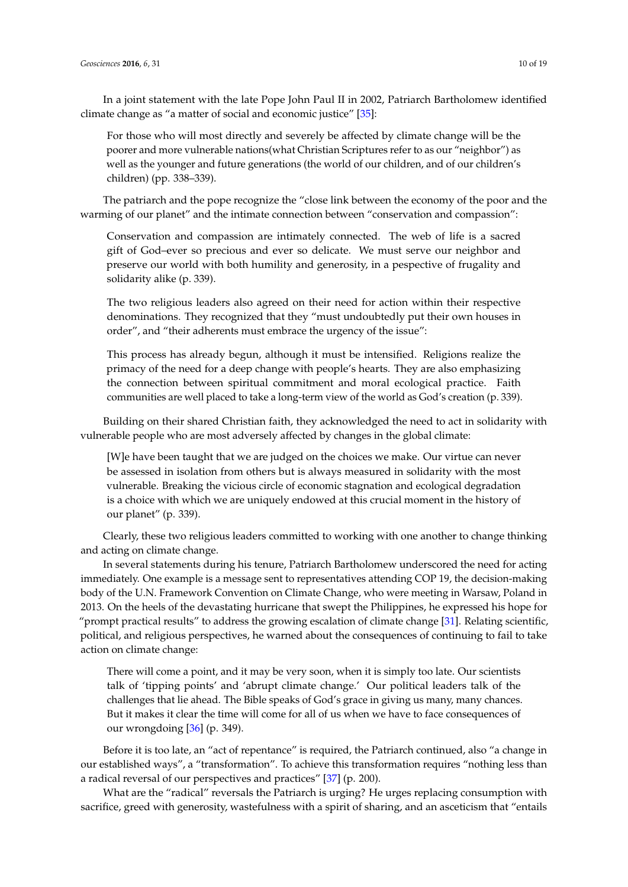In a joint statement with the late Pope John Paul II in 2002, Patriarch Bartholomew identified climate change as "a matter of social and economic justice" [\[35\]](#page-17-3):

For those who will most directly and severely be affected by climate change will be the poorer and more vulnerable nations(what Christian Scriptures refer to as our "neighbor") as well as the younger and future generations (the world of our children, and of our children's children) (pp. 338–339).

The patriarch and the pope recognize the "close link between the economy of the poor and the warming of our planet" and the intimate connection between "conservation and compassion":

Conservation and compassion are intimately connected. The web of life is a sacred gift of God–ever so precious and ever so delicate. We must serve our neighbor and preserve our world with both humility and generosity, in a pespective of frugality and solidarity alike (p. 339).

The two religious leaders also agreed on their need for action within their respective denominations. They recognized that they "must undoubtedly put their own houses in order", and "their adherents must embrace the urgency of the issue":

This process has already begun, although it must be intensified. Religions realize the primacy of the need for a deep change with people's hearts. They are also emphasizing the connection between spiritual commitment and moral ecological practice. Faith communities are well placed to take a long-term view of the world as God's creation (p. 339).

Building on their shared Christian faith, they acknowledged the need to act in solidarity with vulnerable people who are most adversely affected by changes in the global climate:

[W]e have been taught that we are judged on the choices we make. Our virtue can never be assessed in isolation from others but is always measured in solidarity with the most vulnerable. Breaking the vicious circle of economic stagnation and ecological degradation is a choice with which we are uniquely endowed at this crucial moment in the history of our planet" (p. 339).

Clearly, these two religious leaders committed to working with one another to change thinking and acting on climate change.

In several statements during his tenure, Patriarch Bartholomew underscored the need for acting immediately. One example is a message sent to representatives attending COP 19, the decision-making body of the U.N. Framework Convention on Climate Change, who were meeting in Warsaw, Poland in 2013. On the heels of the devastating hurricane that swept the Philippines, he expressed his hope for "prompt practical results" to address the growing escalation of climate change [\[31\]](#page-16-19). Relating scientific, political, and religious perspectives, he warned about the consequences of continuing to fail to take action on climate change:

There will come a point, and it may be very soon, when it is simply too late. Our scientists talk of 'tipping points' and 'abrupt climate change.' Our political leaders talk of the challenges that lie ahead. The Bible speaks of God's grace in giving us many, many chances. But it makes it clear the time will come for all of us when we have to face consequences of our wrongdoing [\[36\]](#page-17-4) (p. 349).

Before it is too late, an "act of repentance" is required, the Patriarch continued, also "a change in our established ways", a "transformation". To achieve this transformation requires "nothing less than a radical reversal of our perspectives and practices" [\[37\]](#page-17-5) (p. 200).

What are the "radical" reversals the Patriarch is urging? He urges replacing consumption with sacrifice, greed with generosity, wastefulness with a spirit of sharing, and an asceticism that "entails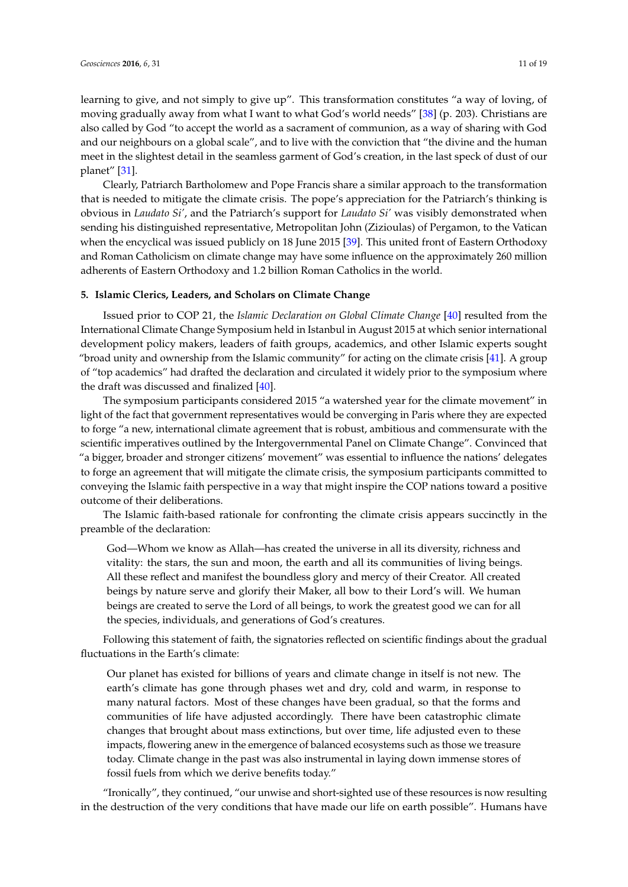learning to give, and not simply to give up". This transformation constitutes "a way of loving, of moving gradually away from what I want to what God's world needs" [\[38\]](#page-17-6) (p. 203). Christians are also called by God "to accept the world as a sacrament of communion, as a way of sharing with God and our neighbours on a global scale", and to live with the conviction that "the divine and the human meet in the slightest detail in the seamless garment of God's creation, in the last speck of dust of our planet" [\[31\]](#page-16-19).

Clearly, Patriarch Bartholomew and Pope Francis share a similar approach to the transformation that is needed to mitigate the climate crisis. The pope's appreciation for the Patriarch's thinking is obvious in *Laudato Si'*, and the Patriarch's support for *Laudato Si'* was visibly demonstrated when sending his distinguished representative, Metropolitan John (Zizioulas) of Pergamon, to the Vatican when the encyclical was issued publicly on 18 June 2015 [\[39\]](#page-17-7). This united front of Eastern Orthodoxy and Roman Catholicism on climate change may have some influence on the approximately 260 million adherents of Eastern Orthodoxy and 1.2 billion Roman Catholics in the world.

# **5. Islamic Clerics, Leaders, and Scholars on Climate Change**

Issued prior to COP 21, the *Islamic Declaration on Global Climate Change* [\[40\]](#page-17-8) resulted from the International Climate Change Symposium held in Istanbul in August 2015 at which senior international development policy makers, leaders of faith groups, academics, and other Islamic experts sought "broad unity and ownership from the Islamic community" for acting on the climate crisis  $[41]$ . A group of "top academics" had drafted the declaration and circulated it widely prior to the symposium where the draft was discussed and finalized [\[40\]](#page-17-8).

The symposium participants considered 2015 "a watershed year for the climate movement" in light of the fact that government representatives would be converging in Paris where they are expected to forge "a new, international climate agreement that is robust, ambitious and commensurate with the scientific imperatives outlined by the Intergovernmental Panel on Climate Change". Convinced that "a bigger, broader and stronger citizens' movement" was essential to influence the nations' delegates to forge an agreement that will mitigate the climate crisis, the symposium participants committed to conveying the Islamic faith perspective in a way that might inspire the COP nations toward a positive outcome of their deliberations.

The Islamic faith-based rationale for confronting the climate crisis appears succinctly in the preamble of the declaration:

God—Whom we know as Allah—has created the universe in all its diversity, richness and vitality: the stars, the sun and moon, the earth and all its communities of living beings. All these reflect and manifest the boundless glory and mercy of their Creator. All created beings by nature serve and glorify their Maker, all bow to their Lord's will. We human beings are created to serve the Lord of all beings, to work the greatest good we can for all the species, individuals, and generations of God's creatures.

Following this statement of faith, the signatories reflected on scientific findings about the gradual fluctuations in the Earth's climate:

Our planet has existed for billions of years and climate change in itself is not new. The earth's climate has gone through phases wet and dry, cold and warm, in response to many natural factors. Most of these changes have been gradual, so that the forms and communities of life have adjusted accordingly. There have been catastrophic climate changes that brought about mass extinctions, but over time, life adjusted even to these impacts, flowering anew in the emergence of balanced ecosystems such as those we treasure today. Climate change in the past was also instrumental in laying down immense stores of fossil fuels from which we derive benefits today."

"Ironically", they continued, "our unwise and short-sighted use of these resources is now resulting in the destruction of the very conditions that have made our life on earth possible". Humans have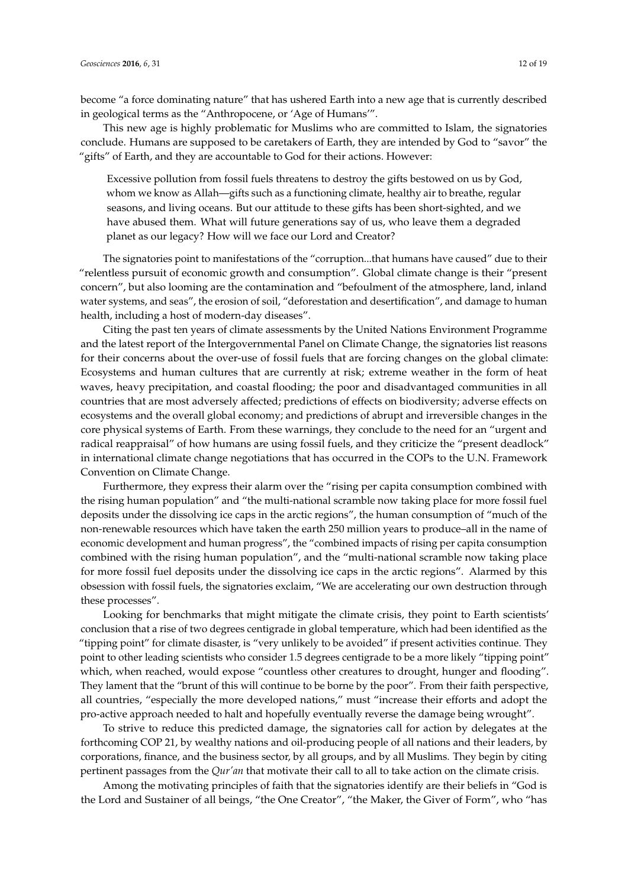become "a force dominating nature" that has ushered Earth into a new age that is currently described in geological terms as the "Anthropocene, or 'Age of Humans'".

This new age is highly problematic for Muslims who are committed to Islam, the signatories conclude. Humans are supposed to be caretakers of Earth, they are intended by God to "savor" the "gifts" of Earth, and they are accountable to God for their actions. However:

Excessive pollution from fossil fuels threatens to destroy the gifts bestowed on us by God, whom we know as Allah—gifts such as a functioning climate, healthy air to breathe, regular seasons, and living oceans. But our attitude to these gifts has been short-sighted, and we have abused them. What will future generations say of us, who leave them a degraded planet as our legacy? How will we face our Lord and Creator?

The signatories point to manifestations of the "corruption...that humans have caused" due to their "relentless pursuit of economic growth and consumption". Global climate change is their "present concern", but also looming are the contamination and "befoulment of the atmosphere, land, inland water systems, and seas", the erosion of soil, "deforestation and desertification", and damage to human health, including a host of modern-day diseases".

Citing the past ten years of climate assessments by the United Nations Environment Programme and the latest report of the Intergovernmental Panel on Climate Change, the signatories list reasons for their concerns about the over-use of fossil fuels that are forcing changes on the global climate: Ecosystems and human cultures that are currently at risk; extreme weather in the form of heat waves, heavy precipitation, and coastal flooding; the poor and disadvantaged communities in all countries that are most adversely affected; predictions of effects on biodiversity; adverse effects on ecosystems and the overall global economy; and predictions of abrupt and irreversible changes in the core physical systems of Earth. From these warnings, they conclude to the need for an "urgent and radical reappraisal" of how humans are using fossil fuels, and they criticize the "present deadlock" in international climate change negotiations that has occurred in the COPs to the U.N. Framework Convention on Climate Change.

Furthermore, they express their alarm over the "rising per capita consumption combined with the rising human population" and "the multi-national scramble now taking place for more fossil fuel deposits under the dissolving ice caps in the arctic regions", the human consumption of "much of the non-renewable resources which have taken the earth 250 million years to produce–all in the name of economic development and human progress", the "combined impacts of rising per capita consumption combined with the rising human population", and the "multi-national scramble now taking place for more fossil fuel deposits under the dissolving ice caps in the arctic regions". Alarmed by this obsession with fossil fuels, the signatories exclaim, "We are accelerating our own destruction through these processes".

Looking for benchmarks that might mitigate the climate crisis, they point to Earth scientists' conclusion that a rise of two degrees centigrade in global temperature, which had been identified as the "tipping point" for climate disaster, is "very unlikely to be avoided" if present activities continue. They point to other leading scientists who consider 1.5 degrees centigrade to be a more likely "tipping point" which, when reached, would expose "countless other creatures to drought, hunger and flooding". They lament that the "brunt of this will continue to be borne by the poor". From their faith perspective, all countries, "especially the more developed nations," must "increase their efforts and adopt the pro-active approach needed to halt and hopefully eventually reverse the damage being wrought".

To strive to reduce this predicted damage, the signatories call for action by delegates at the forthcoming COP 21, by wealthy nations and oil-producing people of all nations and their leaders, by corporations, finance, and the business sector, by all groups, and by all Muslims. They begin by citing pertinent passages from the *Qur'an* that motivate their call to all to take action on the climate crisis.

Among the motivating principles of faith that the signatories identify are their beliefs in "God is the Lord and Sustainer of all beings, "the One Creator", "the Maker, the Giver of Form", who "has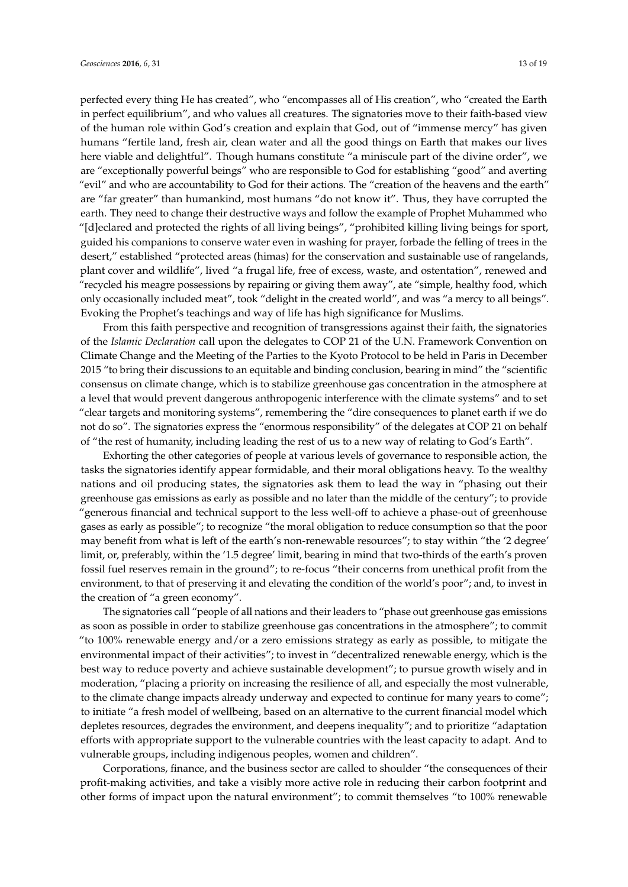perfected every thing He has created", who "encompasses all of His creation", who "created the Earth in perfect equilibrium", and who values all creatures. The signatories move to their faith-based view of the human role within God's creation and explain that God, out of "immense mercy" has given humans "fertile land, fresh air, clean water and all the good things on Earth that makes our lives here viable and delightful". Though humans constitute "a miniscule part of the divine order", we are "exceptionally powerful beings" who are responsible to God for establishing "good" and averting "evil" and who are accountability to God for their actions. The "creation of the heavens and the earth" are "far greater" than humankind, most humans "do not know it". Thus, they have corrupted the earth. They need to change their destructive ways and follow the example of Prophet Muhammed who "[d]eclared and protected the rights of all living beings", "prohibited killing living beings for sport, guided his companions to conserve water even in washing for prayer, forbade the felling of trees in the desert," established "protected areas (himas) for the conservation and sustainable use of rangelands, plant cover and wildlife", lived "a frugal life, free of excess, waste, and ostentation", renewed and "recycled his meagre possessions by repairing or giving them away", ate "simple, healthy food, which only occasionally included meat", took "delight in the created world", and was "a mercy to all beings". Evoking the Prophet's teachings and way of life has high significance for Muslims.

From this faith perspective and recognition of transgressions against their faith, the signatories of the *Islamic Declaration* call upon the delegates to COP 21 of the U.N. Framework Convention on Climate Change and the Meeting of the Parties to the Kyoto Protocol to be held in Paris in December 2015 "to bring their discussions to an equitable and binding conclusion, bearing in mind" the "scientific consensus on climate change, which is to stabilize greenhouse gas concentration in the atmosphere at a level that would prevent dangerous anthropogenic interference with the climate systems" and to set "clear targets and monitoring systems", remembering the "dire consequences to planet earth if we do not do so". The signatories express the "enormous responsibility" of the delegates at COP 21 on behalf of "the rest of humanity, including leading the rest of us to a new way of relating to God's Earth".

Exhorting the other categories of people at various levels of governance to responsible action, the tasks the signatories identify appear formidable, and their moral obligations heavy. To the wealthy nations and oil producing states, the signatories ask them to lead the way in "phasing out their greenhouse gas emissions as early as possible and no later than the middle of the century"; to provide "generous financial and technical support to the less well-off to achieve a phase-out of greenhouse gases as early as possible"; to recognize "the moral obligation to reduce consumption so that the poor may benefit from what is left of the earth's non-renewable resources"; to stay within "the '2 degree' limit, or, preferably, within the '1.5 degree' limit, bearing in mind that two-thirds of the earth's proven fossil fuel reserves remain in the ground"; to re-focus "their concerns from unethical profit from the environment, to that of preserving it and elevating the condition of the world's poor"; and, to invest in the creation of "a green economy".

The signatories call "people of all nations and their leaders to "phase out greenhouse gas emissions as soon as possible in order to stabilize greenhouse gas concentrations in the atmosphere"; to commit "to 100% renewable energy and/or a zero emissions strategy as early as possible, to mitigate the environmental impact of their activities"; to invest in "decentralized renewable energy, which is the best way to reduce poverty and achieve sustainable development"; to pursue growth wisely and in moderation, "placing a priority on increasing the resilience of all, and especially the most vulnerable, to the climate change impacts already underway and expected to continue for many years to come"; to initiate "a fresh model of wellbeing, based on an alternative to the current financial model which depletes resources, degrades the environment, and deepens inequality"; and to prioritize "adaptation efforts with appropriate support to the vulnerable countries with the least capacity to adapt. And to vulnerable groups, including indigenous peoples, women and children".

Corporations, finance, and the business sector are called to shoulder "the consequences of their profit-making activities, and take a visibly more active role in reducing their carbon footprint and other forms of impact upon the natural environment"; to commit themselves "to 100% renewable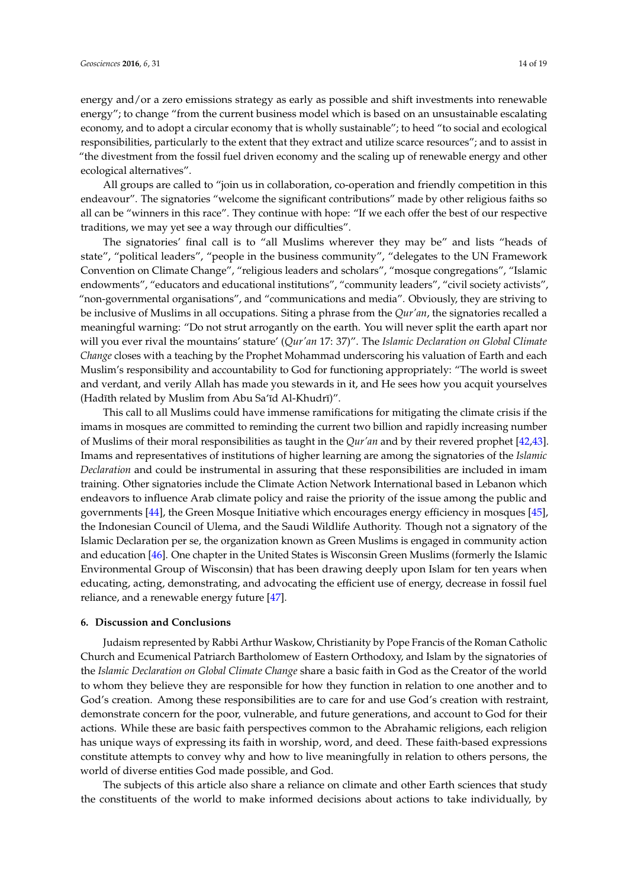energy and/or a zero emissions strategy as early as possible and shift investments into renewable energy"; to change "from the current business model which is based on an unsustainable escalating economy, and to adopt a circular economy that is wholly sustainable"; to heed "to social and ecological responsibilities, particularly to the extent that they extract and utilize scarce resources"; and to assist in "the divestment from the fossil fuel driven economy and the scaling up of renewable energy and other ecological alternatives".

All groups are called to "join us in collaboration, co-operation and friendly competition in this endeavour". The signatories "welcome the significant contributions" made by other religious faiths so all can be "winners in this race". They continue with hope: "If we each offer the best of our respective traditions, we may yet see a way through our difficulties".

The signatories' final call is to "all Muslims wherever they may be" and lists "heads of state", "political leaders", "people in the business community", "delegates to the UN Framework Convention on Climate Change", "religious leaders and scholars", "mosque congregations", "Islamic endowments", "educators and educational institutions", "community leaders", "civil society activists", "non-governmental organisations", and "communications and media". Obviously, they are striving to be inclusive of Muslims in all occupations. Siting a phrase from the *Qur'an*, the signatories recalled a meaningful warning: "Do not strut arrogantly on the earth. You will never split the earth apart nor will you ever rival the mountains' stature' (*Qur'an* 17: 37)". The *Islamic Declaration on Global Climate Change* closes with a teaching by the Prophet Mohammad underscoring his valuation of Earth and each Muslim's responsibility and accountability to God for functioning appropriately: "The world is sweet and verdant, and verily Allah has made you stewards in it, and He sees how you acquit yourselves (Hadīth related by Muslim from Abu Sa'īd Al-Khudrī)".

This call to all Muslims could have immense ramifications for mitigating the climate crisis if the imams in mosques are committed to reminding the current two billion and rapidly increasing number of Muslims of their moral responsibilities as taught in the *Qur'an* and by their revered prophet [\[42](#page-17-10)[,43\]](#page-17-11). Imams and representatives of institutions of higher learning are among the signatories of the *Islamic Declaration* and could be instrumental in assuring that these responsibilities are included in imam training. Other signatories include the Climate Action Network International based in Lebanon which endeavors to influence Arab climate policy and raise the priority of the issue among the public and governments [\[44\]](#page-17-12), the Green Mosque Initiative which encourages energy efficiency in mosques [\[45\]](#page-17-13), the Indonesian Council of Ulema, and the Saudi Wildlife Authority. Though not a signatory of the Islamic Declaration per se, the organization known as Green Muslims is engaged in community action and education [\[46\]](#page-17-14). One chapter in the United States is Wisconsin Green Muslims (formerly the Islamic Environmental Group of Wisconsin) that has been drawing deeply upon Islam for ten years when educating, acting, demonstrating, and advocating the efficient use of energy, decrease in fossil fuel reliance, and a renewable energy future [\[47\]](#page-17-15).

## **6. Discussion and Conclusions**

Judaism represented by Rabbi Arthur Waskow, Christianity by Pope Francis of the Roman Catholic Church and Ecumenical Patriarch Bartholomew of Eastern Orthodoxy, and Islam by the signatories of the *Islamic Declaration on Global Climate Change* share a basic faith in God as the Creator of the world to whom they believe they are responsible for how they function in relation to one another and to God's creation. Among these responsibilities are to care for and use God's creation with restraint, demonstrate concern for the poor, vulnerable, and future generations, and account to God for their actions. While these are basic faith perspectives common to the Abrahamic religions, each religion has unique ways of expressing its faith in worship, word, and deed. These faith-based expressions constitute attempts to convey why and how to live meaningfully in relation to others persons, the world of diverse entities God made possible, and God.

The subjects of this article also share a reliance on climate and other Earth sciences that study the constituents of the world to make informed decisions about actions to take individually, by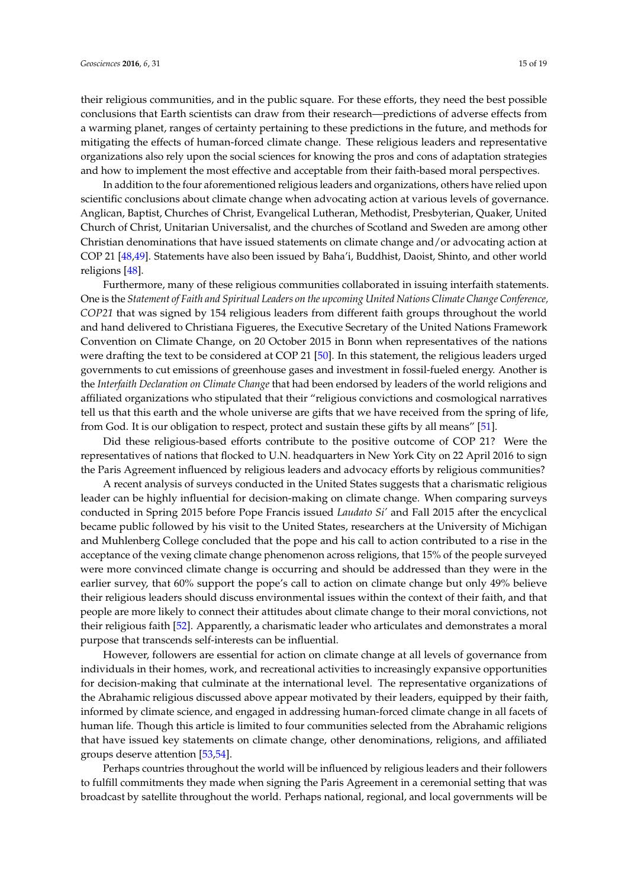their religious communities, and in the public square. For these efforts, they need the best possible conclusions that Earth scientists can draw from their research—predictions of adverse effects from a warming planet, ranges of certainty pertaining to these predictions in the future, and methods for mitigating the effects of human-forced climate change. These religious leaders and representative organizations also rely upon the social sciences for knowing the pros and cons of adaptation strategies and how to implement the most effective and acceptable from their faith-based moral perspectives.

In addition to the four aforementioned religious leaders and organizations, others have relied upon scientific conclusions about climate change when advocating action at various levels of governance. Anglican, Baptist, Churches of Christ, Evangelical Lutheran, Methodist, Presbyterian, Quaker, United Church of Christ, Unitarian Universalist, and the churches of Scotland and Sweden are among other Christian denominations that have issued statements on climate change and/or advocating action at COP 21 [\[48,](#page-17-16)[49\]](#page-17-17). Statements have also been issued by Baha'i, Buddhist, Daoist, Shinto, and other world religions [\[48\]](#page-17-16).

Furthermore, many of these religious communities collaborated in issuing interfaith statements. One is the *Statement of Faith and Spiritual Leaders on the upcoming United Nations Climate Change Conference, COP21* that was signed by 154 religious leaders from different faith groups throughout the world and hand delivered to Christiana Figueres, the Executive Secretary of the United Nations Framework Convention on Climate Change, on 20 October 2015 in Bonn when representatives of the nations were drafting the text to be considered at COP 21 [\[50\]](#page-17-18). In this statement, the religious leaders urged governments to cut emissions of greenhouse gases and investment in fossil-fueled energy. Another is the *Interfaith Declaration on Climate Change* that had been endorsed by leaders of the world religions and affiliated organizations who stipulated that their "religious convictions and cosmological narratives tell us that this earth and the whole universe are gifts that we have received from the spring of life, from God. It is our obligation to respect, protect and sustain these gifts by all means" [\[51\]](#page-18-0).

Did these religious-based efforts contribute to the positive outcome of COP 21? Were the representatives of nations that flocked to U.N. headquarters in New York City on 22 April 2016 to sign the Paris Agreement influenced by religious leaders and advocacy efforts by religious communities?

A recent analysis of surveys conducted in the United States suggests that a charismatic religious leader can be highly influential for decision-making on climate change. When comparing surveys conducted in Spring 2015 before Pope Francis issued *Laudato Si'* and Fall 2015 after the encyclical became public followed by his visit to the United States, researchers at the University of Michigan and Muhlenberg College concluded that the pope and his call to action contributed to a rise in the acceptance of the vexing climate change phenomenon across religions, that 15% of the people surveyed were more convinced climate change is occurring and should be addressed than they were in the earlier survey, that 60% support the pope's call to action on climate change but only 49% believe their religious leaders should discuss environmental issues within the context of their faith, and that people are more likely to connect their attitudes about climate change to their moral convictions, not their religious faith [\[52\]](#page-18-1). Apparently, a charismatic leader who articulates and demonstrates a moral purpose that transcends self-interests can be influential.

However, followers are essential for action on climate change at all levels of governance from individuals in their homes, work, and recreational activities to increasingly expansive opportunities for decision-making that culminate at the international level. The representative organizations of the Abrahamic religious discussed above appear motivated by their leaders, equipped by their faith, informed by climate science, and engaged in addressing human-forced climate change in all facets of human life. Though this article is limited to four communities selected from the Abrahamic religions that have issued key statements on climate change, other denominations, religions, and affiliated groups deserve attention [\[53](#page-18-2)[,54\]](#page-18-3).

Perhaps countries throughout the world will be influenced by religious leaders and their followers to fulfill commitments they made when signing the Paris Agreement in a ceremonial setting that was broadcast by satellite throughout the world. Perhaps national, regional, and local governments will be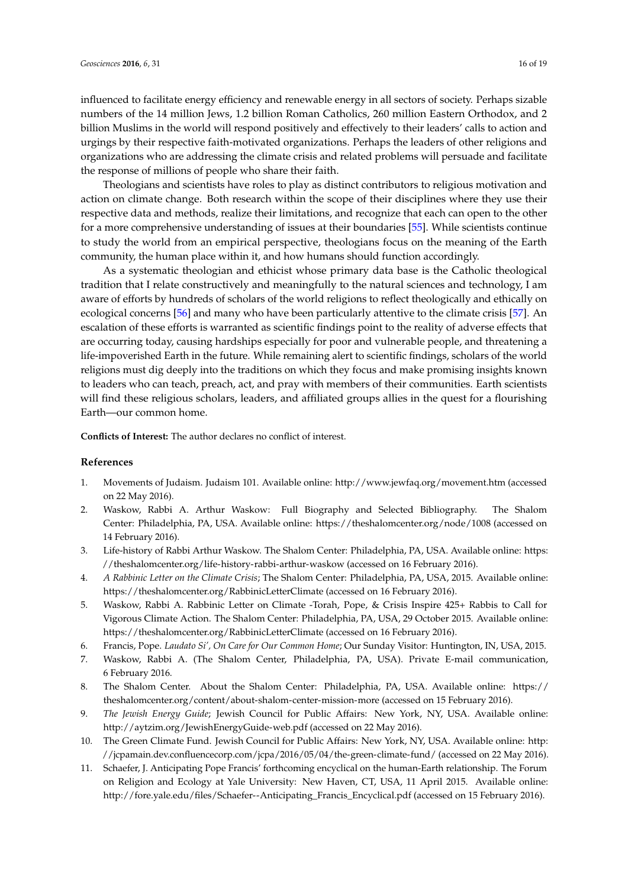influenced to facilitate energy efficiency and renewable energy in all sectors of society. Perhaps sizable numbers of the 14 million Jews, 1.2 billion Roman Catholics, 260 million Eastern Orthodox, and 2 billion Muslims in the world will respond positively and effectively to their leaders' calls to action and urgings by their respective faith-motivated organizations. Perhaps the leaders of other religions and organizations who are addressing the climate crisis and related problems will persuade and facilitate

Theologians and scientists have roles to play as distinct contributors to religious motivation and action on climate change. Both research within the scope of their disciplines where they use their respective data and methods, realize their limitations, and recognize that each can open to the other for a more comprehensive understanding of issues at their boundaries [\[55\]](#page-18-4). While scientists continue to study the world from an empirical perspective, theologians focus on the meaning of the Earth community, the human place within it, and how humans should function accordingly.

As a systematic theologian and ethicist whose primary data base is the Catholic theological tradition that I relate constructively and meaningfully to the natural sciences and technology, I am aware of efforts by hundreds of scholars of the world religions to reflect theologically and ethically on ecological concerns [\[56\]](#page-18-5) and many who have been particularly attentive to the climate crisis [\[57\]](#page-18-6). An escalation of these efforts is warranted as scientific findings point to the reality of adverse effects that are occurring today, causing hardships especially for poor and vulnerable people, and threatening a life-impoverished Earth in the future. While remaining alert to scientific findings, scholars of the world religions must dig deeply into the traditions on which they focus and make promising insights known to leaders who can teach, preach, act, and pray with members of their communities. Earth scientists will find these religious scholars, leaders, and affiliated groups allies in the quest for a flourishing Earth—our common home.

**Conflicts of Interest:** The author declares no conflict of interest.

the response of millions of people who share their faith.

### **References**

- <span id="page-15-0"></span>1. Movements of Judaism. Judaism 101. Available online: <http://www.jewfaq.org/movement.htm> (accessed on 22 May 2016).
- <span id="page-15-1"></span>2. Waskow, Rabbi A. Arthur Waskow: Full Biography and Selected Bibliography. The Shalom Center: Philadelphia, PA, USA. Available online: <https://theshalomcenter.org/node/1008> (accessed on 14 February 2016).
- <span id="page-15-2"></span>3. Life-history of Rabbi Arthur Waskow. The Shalom Center: Philadelphia, PA, USA. Available online: [https:](https://theshalomcenter.org/life-history-rabbi-arthur-waskow) [//theshalomcenter.org/life-history-rabbi-arthur-waskow](https://theshalomcenter.org/life-history-rabbi-arthur-waskow) (accessed on 16 February 2016).
- <span id="page-15-3"></span>4. *A Rabbinic Letter on the Climate Crisis*; The Shalom Center: Philadelphia, PA, USA, 2015. Available online: <https://theshalomcenter.org/RabbinicLetterClimate> (accessed on 16 February 2016).
- <span id="page-15-4"></span>5. Waskow, Rabbi A. Rabbinic Letter on Climate -Torah, Pope, & Crisis Inspire 425+ Rabbis to Call for Vigorous Climate Action. The Shalom Center: Philadelphia, PA, USA, 29 October 2015. Available online: <https://theshalomcenter.org/RabbinicLetterClimate> (accessed on 16 February 2016).
- <span id="page-15-5"></span>6. Francis, Pope. *Laudato Si', On Care for Our Common Home*; Our Sunday Visitor: Huntington, IN, USA, 2015.
- <span id="page-15-6"></span>7. Waskow, Rabbi A. (The Shalom Center, Philadelphia, PA, USA). Private E-mail communication, 6 February 2016.
- <span id="page-15-7"></span>8. The Shalom Center. About the Shalom Center: Philadelphia, PA, USA. Available online: [https://](https://theshalomcenter.org/content/about-shalom-center-mission-more) [theshalomcenter.org/content/about-shalom-center-mission-more](https://theshalomcenter.org/content/about-shalom-center-mission-more) (accessed on 15 February 2016).
- <span id="page-15-8"></span>9. *The Jewish Energy Guide*; Jewish Council for Public Affairs: New York, NY, USA. Available online: <http://aytzim.org/JewishEnergyGuide-web.pdf> (accessed on 22 May 2016).
- <span id="page-15-9"></span>10. The Green Climate Fund. Jewish Council for Public Affairs: New York, NY, USA. Available online: [http:](http://jcpamain.dev.confluencecorp.com/jcpa/2016/05/04/the-green-climate-fund/) [//jcpamain.dev.confluencecorp.com/jcpa/2016/05/04/the-green-climate-fund/](http://jcpamain.dev.confluencecorp.com/jcpa/2016/05/04/the-green-climate-fund/) (accessed on 22 May 2016).
- <span id="page-15-10"></span>11. Schaefer, J. Anticipating Pope Francis' forthcoming encyclical on the human-Earth relationship. The Forum on Religion and Ecology at Yale University: New Haven, CT, USA, 11 April 2015. Available online: [http://fore.yale.edu/files/Schaefer--Anticipating\\_Francis\\_Encyclical.pdf](http://fore.yale.edu/files/Schaefer--Anticipating_Francis_Encyclical.pdf) (accessed on 15 February 2016).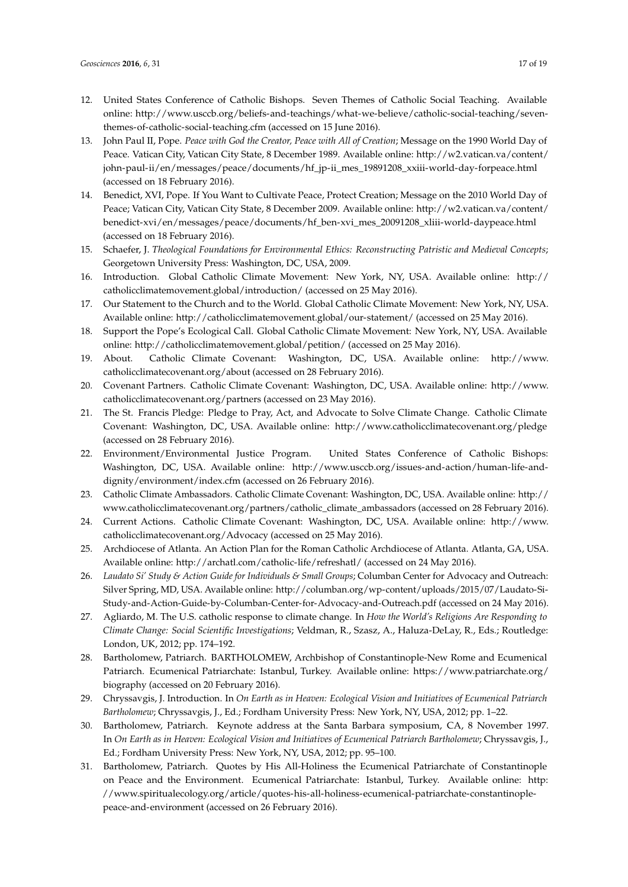- <span id="page-16-0"></span>12. United States Conference of Catholic Bishops. Seven Themes of Catholic Social Teaching. Available online: [http://www.usccb.org/beliefs-and-teachings/what-we-believe/catholic-social-teaching/seven](http://www.usccb.org/beliefs-and-teachings/what-we-believe/catholic-social-teaching/seven-themes-of-catholic-social-teaching.cfm)[themes-of-catholic-social-teaching.cfm](http://www.usccb.org/beliefs-and-teachings/what-we-believe/catholic-social-teaching/seven-themes-of-catholic-social-teaching.cfm) (accessed on 15 June 2016).
- <span id="page-16-1"></span>13. John Paul II, Pope. *Peace with God the Creator, Peace with All of Creation*; Message on the 1990 World Day of Peace. Vatican City, Vatican City State, 8 December 1989. Available online: [http://w2.vatican.va/content/](http://w2.vatican.va/content/john-paul-ii/en/messages/peace/documents/hf_jp-ii_mes_19891208_xxiii-world-day-forpeace.html) [john-paul-ii/en/messages/peace/documents/hf\\_jp-ii\\_mes\\_19891208\\_xxiii-world-day-forpeace.html](http://w2.vatican.va/content/john-paul-ii/en/messages/peace/documents/hf_jp-ii_mes_19891208_xxiii-world-day-forpeace.html) (accessed on 18 February 2016).
- <span id="page-16-2"></span>14. Benedict, XVI, Pope. If You Want to Cultivate Peace, Protect Creation; Message on the 2010 World Day of Peace; Vatican City, Vatican City State, 8 December 2009. Available online: [http://w2.vatican.va/content/](http://w2.vatican.va/content/benedict-xvi/en/messages/peace/documents/hf_ben-xvi_mes_20091208_xliii-world-daypeace.html) [benedict-xvi/en/messages/peace/documents/hf\\_ben-xvi\\_mes\\_20091208\\_xliii-world-daypeace.html](http://w2.vatican.va/content/benedict-xvi/en/messages/peace/documents/hf_ben-xvi_mes_20091208_xliii-world-daypeace.html) (accessed on 18 February 2016).
- <span id="page-16-3"></span>15. Schaefer, J. *Theological Foundations for Environmental Ethics: Reconstructing Patristic and Medieval Concepts*; Georgetown University Press: Washington, DC, USA, 2009.
- <span id="page-16-4"></span>16. Introduction. Global Catholic Climate Movement: New York, NY, USA. Available online: [http://](http://catholicclimatemovement.global/introduction/) [catholicclimatemovement.global/introduction/](http://catholicclimatemovement.global/introduction/) (accessed on 25 May 2016).
- <span id="page-16-5"></span>17. Our Statement to the Church and to the World. Global Catholic Climate Movement: New York, NY, USA. Available online: <http://catholicclimatemovement.global/our-statement/> (accessed on 25 May 2016).
- <span id="page-16-6"></span>18. Support the Pope's Ecological Call. Global Catholic Climate Movement: New York, NY, USA. Available online: <http://catholicclimatemovement.global/petition/> (accessed on 25 May 2016).
- <span id="page-16-7"></span>19. About. Catholic Climate Covenant: Washington, DC, USA. Available online: [http://www.](http://www.catholicclimatecovenant.org/about) [catholicclimatecovenant.org/about](http://www.catholicclimatecovenant.org/about) (accessed on 28 February 2016).
- <span id="page-16-8"></span>20. Covenant Partners. Catholic Climate Covenant: Washington, DC, USA. Available online: [http://www.](http://www.catholicclimatecovenant.org/partners) [catholicclimatecovenant.org/partners](http://www.catholicclimatecovenant.org/partners) (accessed on 23 May 2016).
- <span id="page-16-9"></span>21. The St. Francis Pledge: Pledge to Pray, Act, and Advocate to Solve Climate Change. Catholic Climate Covenant: Washington, DC, USA. Available online: <http://www.catholicclimatecovenant.org/pledge> (accessed on 28 February 2016).
- <span id="page-16-10"></span>22. Environment/Environmental Justice Program. United States Conference of Catholic Bishops: Washington, DC, USA. Available online: [http://www.usccb.org/issues-and-action/human-life-and](http://www.usccb.org/issues-and-action/human-life-and-dignity/environment/index.cfm)[dignity/environment/index.cfm](http://www.usccb.org/issues-and-action/human-life-and-dignity/environment/index.cfm) (accessed on 26 February 2016).
- <span id="page-16-11"></span>23. Catholic Climate Ambassadors. Catholic Climate Covenant: Washington, DC, USA. Available online: [http://](http://www.catholicclimatecovenant.org/partners/catholic_climate_ambassadors) [www.catholicclimatecovenant.org/partners/catholic\\_climate\\_ambassadors](http://www.catholicclimatecovenant.org/partners/catholic_climate_ambassadors) (accessed on 28 February 2016).
- <span id="page-16-12"></span>24. Current Actions. Catholic Climate Covenant: Washington, DC, USA. Available online: [http://www.](http://www.catholicclimatecovenant.org/Advocacy) [catholicclimatecovenant.org/Advocacy](http://www.catholicclimatecovenant.org/Advocacy) (accessed on 25 May 2016).
- <span id="page-16-13"></span>25. Archdiocese of Atlanta. An Action Plan for the Roman Catholic Archdiocese of Atlanta. Atlanta, GA, USA. Available online: <http://archatl.com/catholic-life/refreshatl/> (accessed on 24 May 2016).
- <span id="page-16-14"></span>26. *Laudato Si' Study & Action Guide for Individuals & Small Groups*; Columban Center for Advocacy and Outreach: Silver Spring, MD, USA. Available online: [http://columban.org/wp-content/uploads/2015/07/Laudato-Si-](http://columban.org/wp-content/uploads/2015/07/Laudato-Si-Study-and-Action-Guide-by-Columban-Center-for-Advocacy-and-Outreach.pdf)[Study-and-Action-Guide-by-Columban-Center-for-Advocacy-and-Outreach.pdf](http://columban.org/wp-content/uploads/2015/07/Laudato-Si-Study-and-Action-Guide-by-Columban-Center-for-Advocacy-and-Outreach.pdf) (accessed on 24 May 2016).
- <span id="page-16-15"></span>27. Agliardo, M. The U.S. catholic response to climate change. In *How the World's Religions Are Responding to Climate Change: Social Scientific Investigations*; Veldman, R., Szasz, A., Haluza-DeLay, R., Eds.; Routledge: London, UK, 2012; pp. 174–192.
- <span id="page-16-16"></span>28. Bartholomew, Patriarch. BARTHOLOMEW, Archbishop of Constantinople-New Rome and Ecumenical Patriarch. Ecumenical Patriarchate: Istanbul, Turkey. Available online: [https://www.patriarchate.org/](https://www.patriarchate.org/biography) [biography](https://www.patriarchate.org/biography) (accessed on 20 February 2016).
- <span id="page-16-17"></span>29. Chryssavgis, J. Introduction. In *On Earth as in Heaven: Ecological Vision and Initiatives of Ecumenical Patriarch Bartholomew*; Chryssavgis, J., Ed.; Fordham University Press: New York, NY, USA, 2012; pp. 1–22.
- <span id="page-16-18"></span>30. Bartholomew, Patriarch. Keynote address at the Santa Barbara symposium, CA, 8 November 1997. In *On Earth as in Heaven: Ecological Vision and Initiatives of Ecumenical Patriarch Bartholomew*; Chryssavgis, J., Ed.; Fordham University Press: New York, NY, USA, 2012; pp. 95–100.
- <span id="page-16-19"></span>31. Bartholomew, Patriarch. Quotes by His All-Holiness the Ecumenical Patriarchate of Constantinople on Peace and the Environment. Ecumenical Patriarchate: Istanbul, Turkey. Available online: [http:](http://www.spiritualecology.org/article/quotes-his-all-holiness-ecumenical-patriarchate-constantinople-peace-and-environment) [//www.spiritualecology.org/article/quotes-his-all-holiness-ecumenical-patriarchate-constantinople](http://www.spiritualecology.org/article/quotes-his-all-holiness-ecumenical-patriarchate-constantinople-peace-and-environment)[peace-and-environment](http://www.spiritualecology.org/article/quotes-his-all-holiness-ecumenical-patriarchate-constantinople-peace-and-environment) (accessed on 26 February 2016).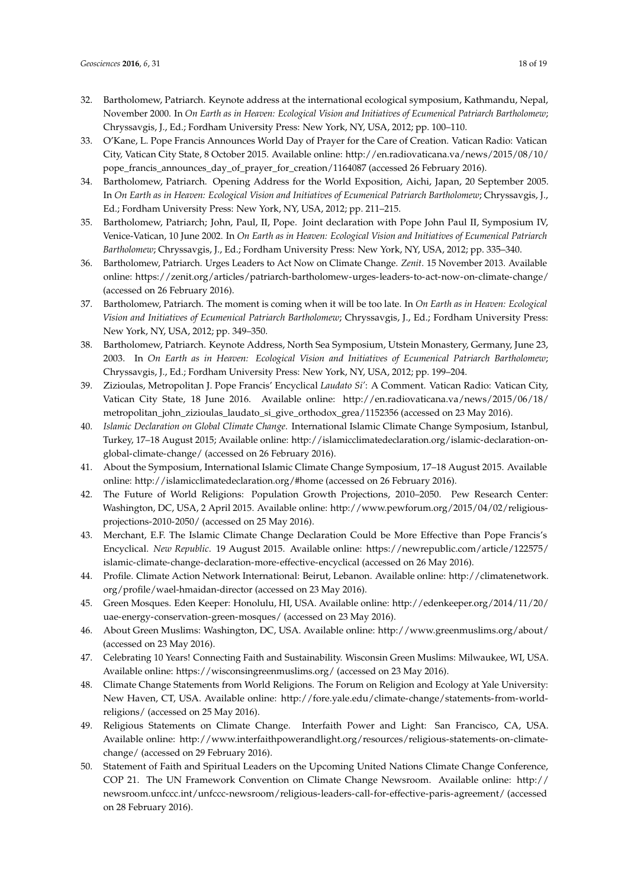- <span id="page-17-0"></span>32. Bartholomew, Patriarch. Keynote address at the international ecological symposium, Kathmandu, Nepal, November 2000. In *On Earth as in Heaven: Ecological Vision and Initiatives of Ecumenical Patriarch Bartholomew*; Chryssavgis, J., Ed.; Fordham University Press: New York, NY, USA, 2012; pp. 100–110.
- <span id="page-17-1"></span>33. O'Kane, L. Pope Francis Announces World Day of Prayer for the Care of Creation. Vatican Radio: Vatican City, Vatican City State, 8 October 2015. Available online: [http://en.radiovaticana.va/news/2015/08/10/](http://en.radiovaticana.va/news/2015/08/10/pope_francis_announces_day_of_prayer_for_creation/1164087) [pope\\_francis\\_announces\\_day\\_of\\_prayer\\_for\\_creation/1164087](http://en.radiovaticana.va/news/2015/08/10/pope_francis_announces_day_of_prayer_for_creation/1164087) (accessed 26 February 2016).
- <span id="page-17-2"></span>34. Bartholomew, Patriarch. Opening Address for the World Exposition, Aichi, Japan, 20 September 2005. In *On Earth as in Heaven: Ecological Vision and Initiatives of Ecumenical Patriarch Bartholomew*; Chryssavgis, J., Ed.; Fordham University Press: New York, NY, USA, 2012; pp. 211–215.
- <span id="page-17-3"></span>35. Bartholomew, Patriarch; John, Paul, II, Pope. Joint declaration with Pope John Paul II, Symposium IV, Venice-Vatican, 10 June 2002. In *On Earth as in Heaven: Ecological Vision and Initiatives of Ecumenical Patriarch Bartholomew*; Chryssavgis, J., Ed.; Fordham University Press: New York, NY, USA, 2012; pp. 335–340.
- <span id="page-17-4"></span>36. Bartholomew, Patriarch. Urges Leaders to Act Now on Climate Change. *Zenit*. 15 November 2013. Available online: <https://zenit.org/articles/patriarch-bartholomew-urges-leaders-to-act-now-on-climate-change/> (accessed on 26 February 2016).
- <span id="page-17-5"></span>37. Bartholomew, Patriarch. The moment is coming when it will be too late. In *On Earth as in Heaven: Ecological Vision and Initiatives of Ecumenical Patriarch Bartholomew*; Chryssavgis, J., Ed.; Fordham University Press: New York, NY, USA, 2012; pp. 349–350.
- <span id="page-17-6"></span>38. Bartholomew, Patriarch. Keynote Address, North Sea Symposium, Utstein Monastery, Germany, June 23, 2003. In *On Earth as in Heaven: Ecological Vision and Initiatives of Ecumenical Patriarch Bartholomew*; Chryssavgis, J., Ed.; Fordham University Press: New York, NY, USA, 2012; pp. 199–204.
- <span id="page-17-7"></span>39. Zizioulas, Metropolitan J. Pope Francis' Encyclical *Laudato Si'*: A Comment. Vatican Radio: Vatican City, Vatican City State, 18 June 2016. Available online: [http://en.radiovaticana.va/news/2015/06/18/](http://en.radiovaticana.va/news/2015/06/18/metropolitan_john_zizioulas_laudato_si_give_orthodox_grea/1152356) [metropolitan\\_john\\_zizioulas\\_laudato\\_si\\_give\\_orthodox\\_grea/1152356](http://en.radiovaticana.va/news/2015/06/18/metropolitan_john_zizioulas_laudato_si_give_orthodox_grea/1152356) (accessed on 23 May 2016).
- <span id="page-17-8"></span>40. *Islamic Declaration on Global Climate Change*. International Islamic Climate Change Symposium, Istanbul, Turkey, 17–18 August 2015; Available online: [http://islamicclimatedeclaration.org/islamic-declaration-on](http://islamicclimatedeclaration.org/islamic-declaration-on-global-climate-change/)[global-climate-change/](http://islamicclimatedeclaration.org/islamic-declaration-on-global-climate-change/) (accessed on 26 February 2016).
- <span id="page-17-9"></span>41. About the Symposium, International Islamic Climate Change Symposium, 17–18 August 2015. Available online: <http://islamicclimatedeclaration.org/#home> (accessed on 26 February 2016).
- <span id="page-17-10"></span>42. The Future of World Religions: Population Growth Projections, 2010–2050. Pew Research Center: Washington, DC, USA, 2 April 2015. Available online: [http://www.pewforum.org/2015/04/02/religious](http://www.pewforum.org/2015/04/02/religious-projections-2010-2050/)[projections-2010-2050/](http://www.pewforum.org/2015/04/02/religious-projections-2010-2050/) (accessed on 25 May 2016).
- <span id="page-17-11"></span>43. Merchant, E.F. The Islamic Climate Change Declaration Could be More Effective than Pope Francis's Encyclical. *New Republic*. 19 August 2015. Available online: [https://newrepublic.com/article/122575/](https://newrepublic.com/article/122575/islamic-climate-change-declaration-more-effective-encyclical) [islamic-climate-change-declaration-more-effective-encyclical](https://newrepublic.com/article/122575/islamic-climate-change-declaration-more-effective-encyclical) (accessed on 26 May 2016).
- <span id="page-17-12"></span>44. Profile. Climate Action Network International: Beirut, Lebanon. Available online: <http://climatenetwork.> org/profile/wael-hmaidan-director (accessed on 23 May 2016).
- <span id="page-17-13"></span>45. Green Mosques. Eden Keeper: Honolulu, HI, USA. Available online: [http://edenkeeper.org/2014/11/20/](http://edenkeeper.org/2014/11/20/uae-energy-conservation-green-mosques/) [uae-energy-conservation-green-mosques/](http://edenkeeper.org/2014/11/20/uae-energy-conservation-green-mosques/) (accessed on 23 May 2016).
- <span id="page-17-14"></span>46. About Green Muslims: Washington, DC, USA. Available online: <http://www.greenmuslims.org/about/> (accessed on 23 May 2016).
- <span id="page-17-15"></span>47. Celebrating 10 Years! Connecting Faith and Sustainability. Wisconsin Green Muslims: Milwaukee, WI, USA. Available online: <https://wisconsingreenmuslims.org/> (accessed on 23 May 2016).
- <span id="page-17-16"></span>48. Climate Change Statements from World Religions. The Forum on Religion and Ecology at Yale University: New Haven, CT, USA. Available online: [http://fore.yale.edu/climate-change/statements-from-world](http://fore.yale.edu/climate-change/statements-from-world-religions/)[religions/](http://fore.yale.edu/climate-change/statements-from-world-religions/) (accessed on 25 May 2016).
- <span id="page-17-17"></span>49. Religious Statements on Climate Change. Interfaith Power and Light: San Francisco, CA, USA. Available online: [http://www.interfaithpowerandlight.org/resources/religious-statements-on-climate](http://www.interfaithpowerandlight.org/resources/religious-statements-on-climate-change/)[change/](http://www.interfaithpowerandlight.org/resources/religious-statements-on-climate-change/) (accessed on 29 February 2016).
- <span id="page-17-18"></span>50. Statement of Faith and Spiritual Leaders on the Upcoming United Nations Climate Change Conference, COP 21. The UN Framework Convention on Climate Change Newsroom. Available online: [http://](http://newsroom.unfccc.int/unfccc-newsroom/religious-leaders-call-for-effective-paris-agreement/) [newsroom.unfccc.int/unfccc-newsroom/religious-leaders-call-for-effective-paris-agreement/](http://newsroom.unfccc.int/unfccc-newsroom/religious-leaders-call-for-effective-paris-agreement/) (accessed on 28 February 2016).